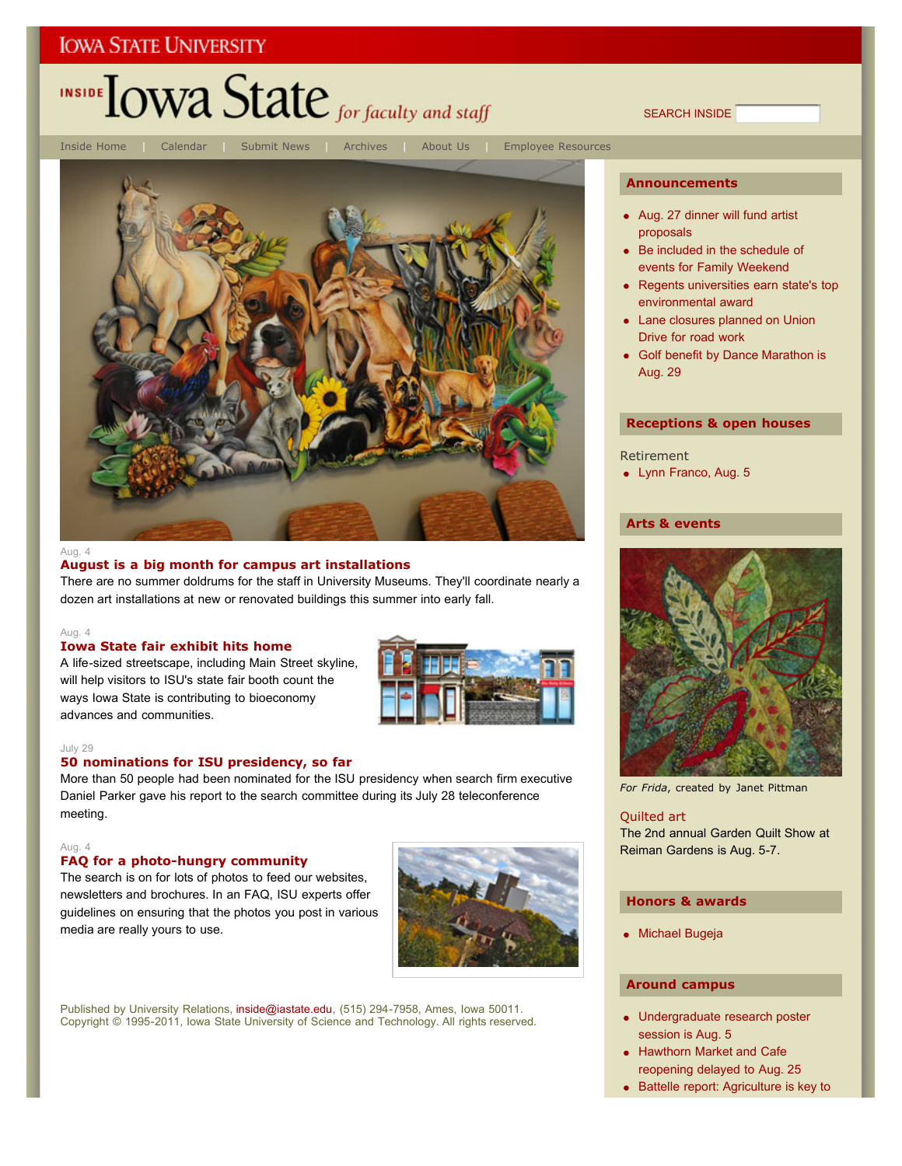# INSIDE TOWA State for faculty and staff

Inside Home | Calendar | Submit News | Archives | About Us | Employee Resources



#### Aug. 4

#### **August is a big month for campus art installations**

There are no summer doldrums for the staff in University Museums. They'll coordinate nearly a dozen art installations at new or renovated buildings this summer into early fall.

#### Aug. 4

#### **Iowa State fair exhibit hits home**

A life-sized streetscape, including Main Street skyline, will help visitors to ISU's state fair booth count the ways Iowa State is contributing to bioeconomy advances and communities.



#### July 29

#### **50 nominations for ISU presidency, so far**

More than 50 people had been nominated for the ISU presidency when search firm executive Daniel Parker gave his report to the search committee during its July 28 teleconference meeting.

#### Aug. 4

#### **FAQ for a photo-hungry community**

The search is on for lots of photos to feed our websites, newsletters and brochures. In an FAQ, ISU experts offer guidelines on ensuring that the photos you post in various media are really yours to use.



Published by University Relations, inside@iastate.edu, (515) 294-7958, Ames, Iowa 50011. Copyright © 1995-2011, Iowa State University of Science and Technology. All rights reserved.

#### **Announcements**

SEARCH INSIDE

- Aug. 27 dinner will fund artist proposals
- Be included in the schedule of events for Family Weekend
- Regents universities earn state's top environmental award
- Lane closures planned on Union Drive for road work
- Golf benefit by Dance Marathon is Aug. 29

#### **Receptions & open houses**

#### Retirement

• Lynn Franco, Aug. 5

#### **Arts & events**



*For Frida*, created by Janet Pittman

## Quilted art

The 2nd annual Garden Quilt Show at Reiman Gardens is Aug. 5-7.

#### **Honors & awards**

Michael Bugeja

#### **Around campus**

- Undergraduate research poster session is Aug. 5
- Hawthorn Market and Cafe reopening delayed to Aug. 25
- Battelle report: Agriculture is key to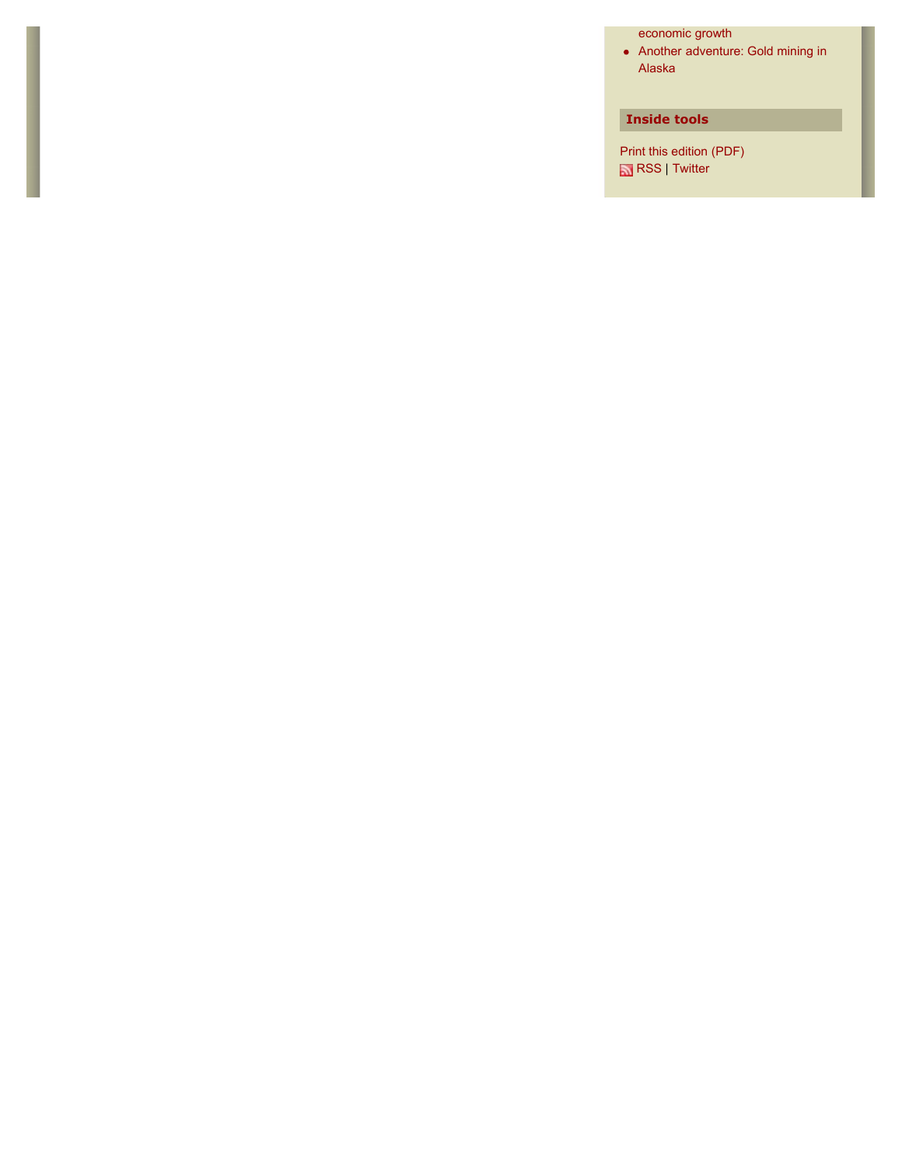economic growth

Another adventure: Gold mining in Alaska

#### **Inside tools**

Print this edition (PDF) **RSS** | Twitter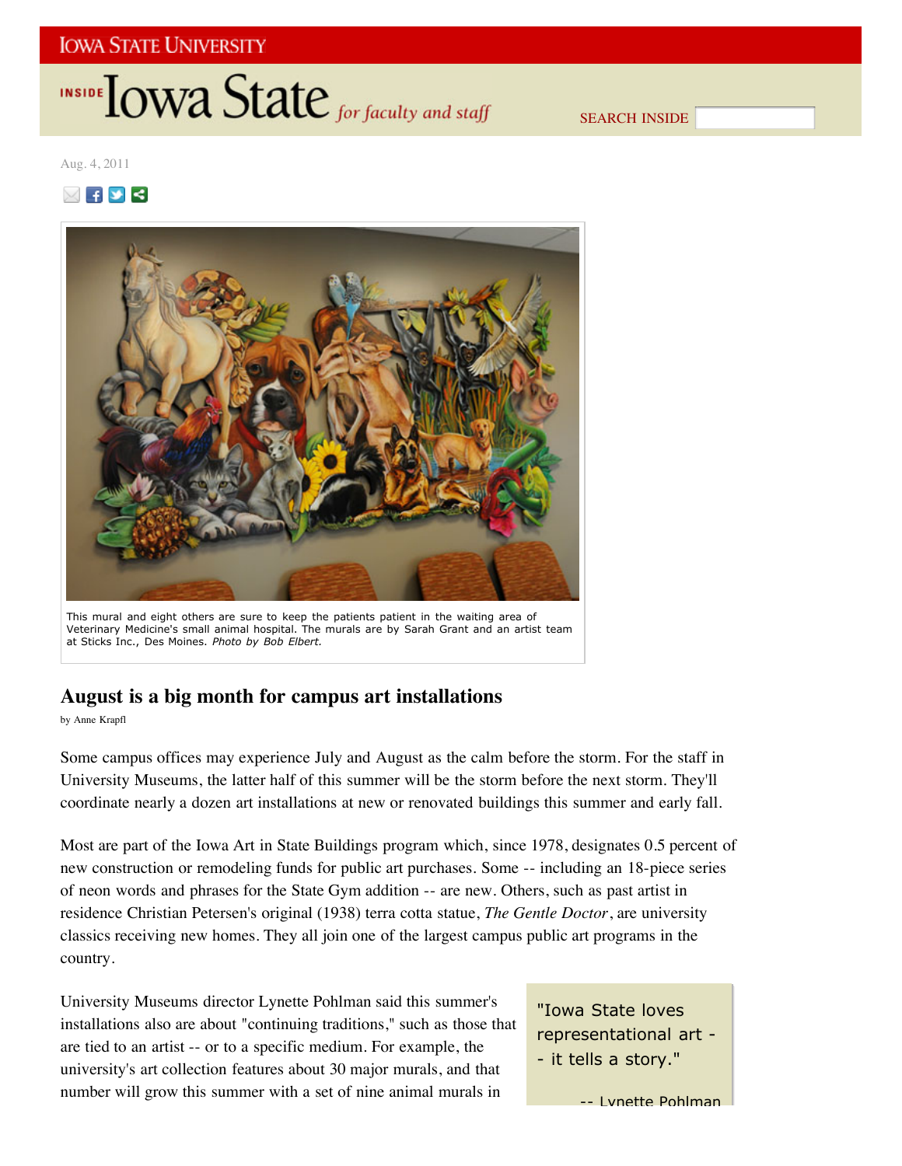# INSIDE **IOWA State** for faculty and staff

SEARCH INSIDE

Aug. 4, 2011

 $\boxtimes$  fy  $\le$ 



This mural and eight others are sure to keep the patients patient in the waiting area of Veterinary Medicine's small animal hospital. The murals are by Sarah Grant and an artist team at Sticks Inc., Des Moines. *Photo by Bob Elbert.*

# **August is a big month for campus art installations**

by Anne Krapfl

Some campus offices may experience July and August as the calm before the storm. For the staff in University Museums, the latter half of this summer will be the storm before the next storm. They'll coordinate nearly a dozen art installations at new or renovated buildings this summer and early fall.

Most are part of the Iowa Art in State Buildings program which, since 1978, designates 0.5 percent of new construction or remodeling funds for public art purchases. Some -- including an 18-piece series of neon words and phrases for the State Gym addition -- are new. Others, such as past artist in residence Christian Petersen's original (1938) terra cotta statue, *The Gentle Doctor*, are university classics receiving new homes. They all join one of the largest campus public art programs in the country.

University Museums director Lynette Pohlman said this summer's installations also are about "continuing traditions," such as those that are tied to an artist -- or to a specific medium. For example, the university's art collection features about 30 major murals, and that number will grow this summer with a set of nine animal murals in

"Iowa State loves representational art - - it tells a story."

-- Lynette Pohlman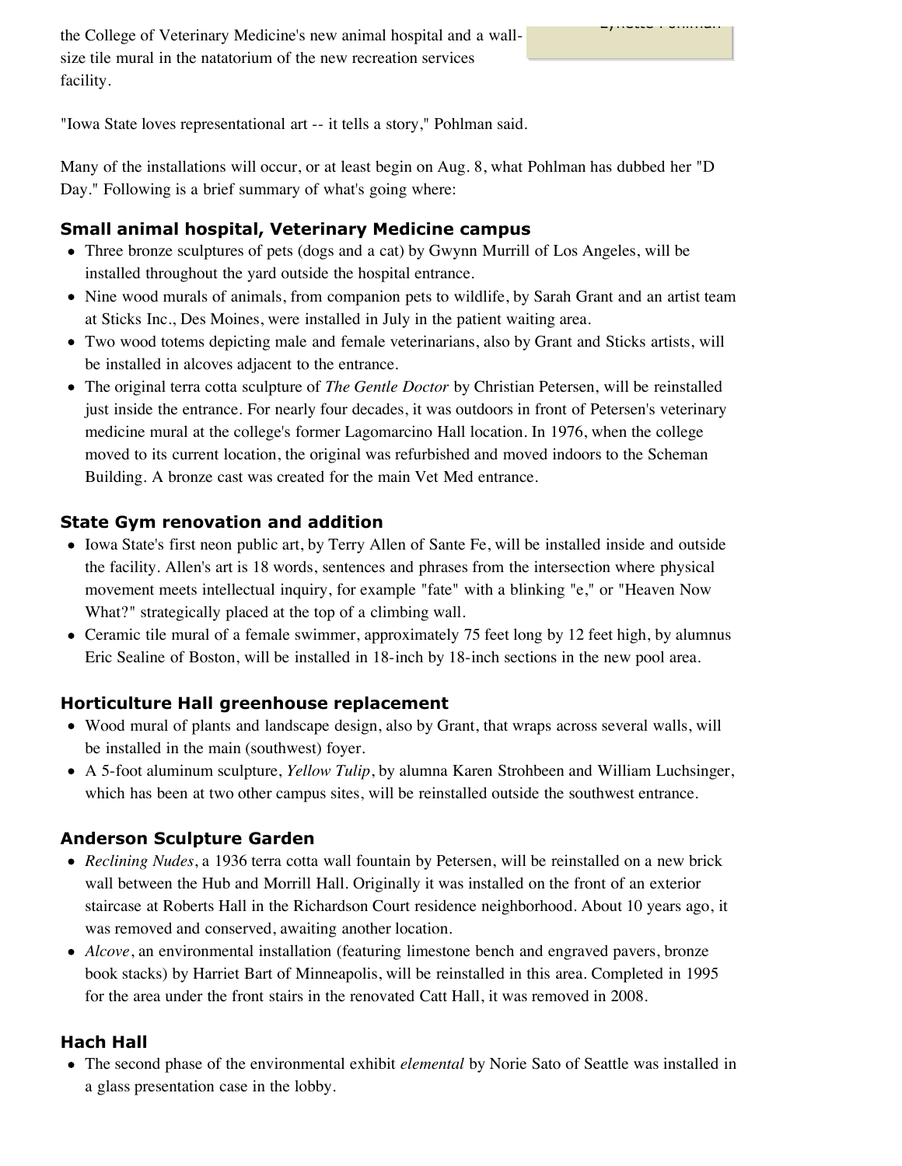the College of Veterinary Medicine's new animal hospital and a wallsize tile mural in the natatorium of the new recreation services facility.

"Iowa State loves representational art -- it tells a story," Pohlman said.

Many of the installations will occur, or at least begin on Aug. 8, what Pohlman has dubbed her "D Day." Following is a brief summary of what's going where:

Lynette Pohlman

# **Small animal hospital, Veterinary Medicine campus**

- Three bronze sculptures of pets (dogs and a cat) by Gwynn Murrill of Los Angeles, will be installed throughout the yard outside the hospital entrance.
- Nine wood murals of animals, from companion pets to wildlife, by Sarah Grant and an artist team at Sticks Inc., Des Moines, were installed in July in the patient waiting area.
- Two wood totems depicting male and female veterinarians, also by Grant and Sticks artists, will be installed in alcoves adjacent to the entrance.
- The original terra cotta sculpture of *The Gentle Doctor* by Christian Petersen, will be reinstalled just inside the entrance. For nearly four decades, it was outdoors in front of Petersen's veterinary medicine mural at the college's former Lagomarcino Hall location. In 1976, when the college moved to its current location, the original was refurbished and moved indoors to the Scheman Building. A bronze cast was created for the main Vet Med entrance.

# **State Gym renovation and addition**

- Iowa State's first neon public art, by Terry Allen of Sante Fe, will be installed inside and outside the facility. Allen's art is 18 words, sentences and phrases from the intersection where physical movement meets intellectual inquiry, for example "fate" with a blinking "e," or "Heaven Now What?" strategically placed at the top of a climbing wall.
- Ceramic tile mural of a female swimmer, approximately 75 feet long by 12 feet high, by alumnus Eric Sealine of Boston, will be installed in 18-inch by 18-inch sections in the new pool area.

# **Horticulture Hall greenhouse replacement**

- Wood mural of plants and landscape design, also by Grant, that wraps across several walls, will be installed in the main (southwest) foyer.
- A 5-foot aluminum sculpture, *Yellow Tulip*, by alumna Karen Strohbeen and William Luchsinger, which has been at two other campus sites, will be reinstalled outside the southwest entrance.

# **Anderson Sculpture Garden**

- *Reclining Nudes*, a 1936 terra cotta wall fountain by Petersen, will be reinstalled on a new brick wall between the Hub and Morrill Hall. Originally it was installed on the front of an exterior staircase at Roberts Hall in the Richardson Court residence neighborhood. About 10 years ago, it was removed and conserved, awaiting another location.
- *Alcove*, an environmental installation (featuring limestone bench and engraved pavers, bronze book stacks) by Harriet Bart of Minneapolis, will be reinstalled in this area. Completed in 1995 for the area under the front stairs in the renovated Catt Hall, it was removed in 2008.

# **Hach Hall**

The second phase of the environmental exhibit *elemental* by Norie Sato of Seattle was installed in a glass presentation case in the lobby.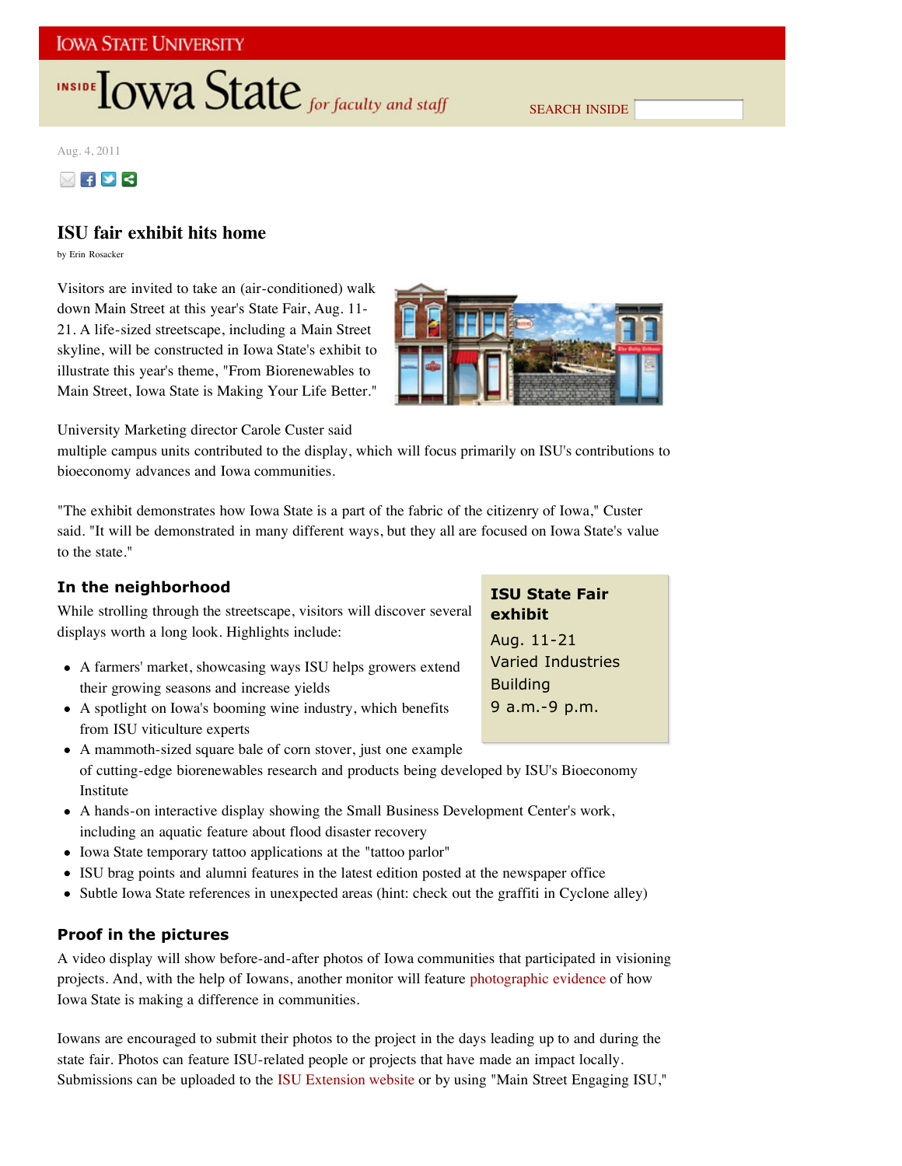# INSIDE TOWA State for faculty and staff

SEARCH INSIDE

Aug. 4, 2011



## **ISU fair exhibit hits home**

by Erin Rosacker

Visitors are invited to take an (air-conditioned) walk down Main Street at this year's State Fair, Aug. 11- 21. A life-sized streetscape, including a Main Street skyline, will be constructed in Iowa State's exhibit to illustrate this year's theme, "From Biorenewables to Main Street, Iowa State is Making Your Life Better."



University Marketing director Carole Custer said

multiple campus units contributed to the display, which will focus primarily on ISU's contributions to bioeconomy advances and Iowa communities.

"The exhibit demonstrates how Iowa State is a part of the fabric of the citizenry of Iowa," Custer said. "It will be demonstrated in many different ways, but they all are focused on Iowa State's value to the state."

## **In the neighborhood**

While strolling through the streetscape, visitors will discover several displays worth a long look. Highlights include:

- A farmers' market, showcasing ways ISU helps growers extend their growing seasons and increase yields
- A spotlight on Iowa's booming wine industry, which benefits from ISU viticulture experts
- A mammoth-sized square bale of corn stover, just one example of cutting-edge biorenewables research and products being developed by ISU's Bioeconomy Institute
- A hands-on interactive display showing the Small Business Development Center's work, including an aquatic feature about flood disaster recovery
- Iowa State temporary tattoo applications at the "tattoo parlor"
- ISU brag points and alumni features in the latest edition posted at the newspaper office
- Subtle Iowa State references in unexpected areas (hint: check out the graffiti in Cyclone alley)

## **Proof in the pictures**

A video display will show before-and-after photos of Iowa communities that participated in visioning projects. And, with the help of Iowans, another monitor will feature photographic evidence of how Iowa State is making a difference in communities.

Iowans are encouraged to submit their photos to the project in the days leading up to and during the state fair. Photos can feature ISU-related people or projects that have made an impact locally. Submissions can be uploaded to the ISU Extension website or by using "Main Street Engaging ISU,"

**ISU State Fair exhibit** Aug. 11-21 Varied Industries **Building** 9 a.m.-9 p.m.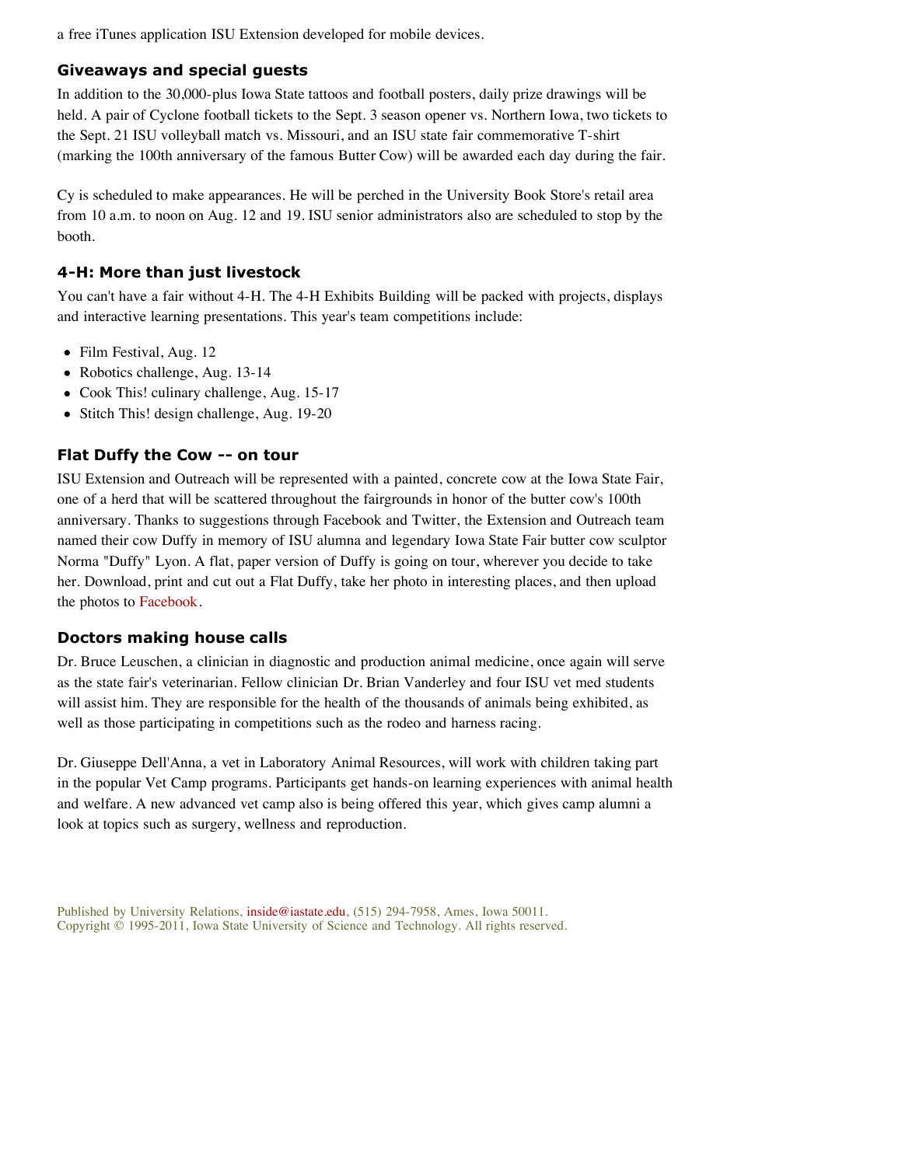a free iTunes application ISU Extension developed for mobile devices.

### **Giveaways and special guests**

In addition to the 30,000-plus Iowa State tattoos and football posters, daily prize drawings will be held. A pair of Cyclone football tickets to the Sept. 3 season opener vs. Northern Iowa, two tickets to the Sept. 21 ISU volleyball match vs. Missouri, and an ISU state fair commemorative T-shirt (marking the 100th anniversary of the famous Butter Cow) will be awarded each day during the fair.

Cy is scheduled to make appearances. He will be perched in the University Book Store's retail area from 10 a.m. to noon on Aug. 12 and 19. ISU senior administrators also are scheduled to stop by the booth.

## **4-H: More than just livestock**

You can't have a fair without 4-H. The 4-H Exhibits Building will be packed with projects, displays and interactive learning presentations. This year's team competitions include:

- Film Festival, Aug. 12
- Robotics challenge, Aug. 13-14
- Cook This! culinary challenge, Aug. 15-17
- Stitch This! design challenge, Aug. 19-20

#### **Flat Duffy the Cow -- on tour**

ISU Extension and Outreach will be represented with a painted, concrete cow at the Iowa State Fair, one of a herd that will be scattered throughout the fairgrounds in honor of the butter cow's 100th anniversary. Thanks to suggestions through Facebook and Twitter, the Extension and Outreach team named their cow Duffy in memory of ISU alumna and legendary Iowa State Fair butter cow sculptor Norma "Duffy" Lyon. A flat, paper version of Duffy is going on tour, wherever you decide to take her. Download, print and cut out a Flat Duffy, take her photo in interesting places, and then upload the photos to Facebook.

#### **Doctors making house calls**

Dr. Bruce Leuschen, a clinician in diagnostic and production animal medicine, once again will serve as the state fair's veterinarian. Fellow clinician Dr. Brian Vanderley and four ISU vet med students will assist him. They are responsible for the health of the thousands of animals being exhibited, as well as those participating in competitions such as the rodeo and harness racing.

Dr. Giuseppe Dell'Anna, a vet in Laboratory Animal Resources, will work with children taking part in the popular Vet Camp programs. Participants get hands-on learning experiences with animal health and welfare. A new advanced vet camp also is being offered this year, which gives camp alumni a look at topics such as surgery, wellness and reproduction.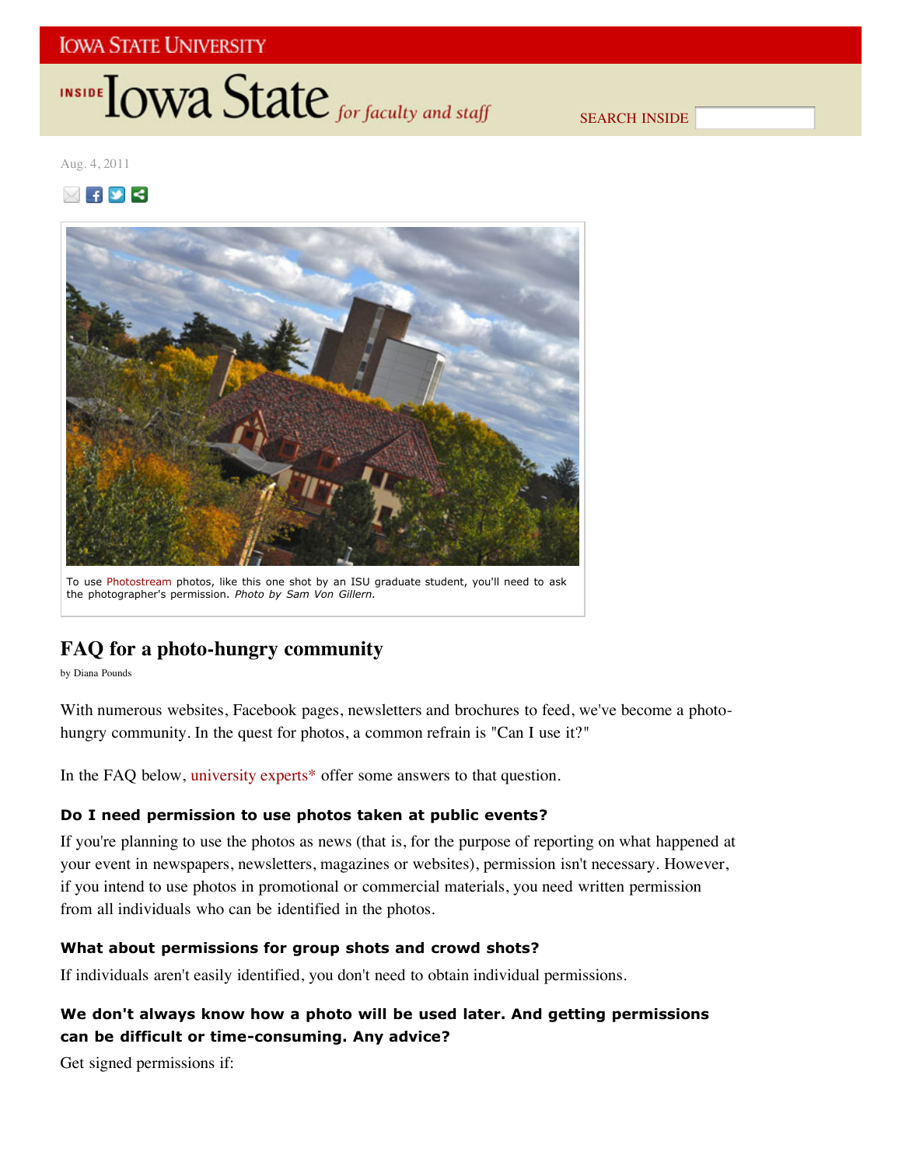# **INSIDE TOWA State** for faculty and staff

SEARCH INSIDE

Aug. 4, 2011





To use Photostream photos, like this one shot by an ISU graduate student, you'll need to ask the photographer's permission. *Photo by Sam Von Gillern.*

# **FAQ for a photo-hungry community**

by Diana Pounds

With numerous websites, Facebook pages, newsletters and brochures to feed, we've become a photohungry community. In the quest for photos, a common refrain is "Can I use it?"

In the FAQ below, university experts\* offer some answers to that question.

## **Do I need permission to use photos taken at public events?**

If you're planning to use the photos as news (that is, for the purpose of reporting on what happened at your event in newspapers, newsletters, magazines or websites), permission isn't necessary. However, if you intend to use photos in promotional or commercial materials, you need written permission from all individuals who can be identified in the photos.

## **What about permissions for group shots and crowd shots?**

If individuals aren't easily identified, you don't need to obtain individual permissions.

## **We don't always know how a photo will be used later. And getting permissions can be difficult or time-consuming. Any advice?**

Get signed permissions if: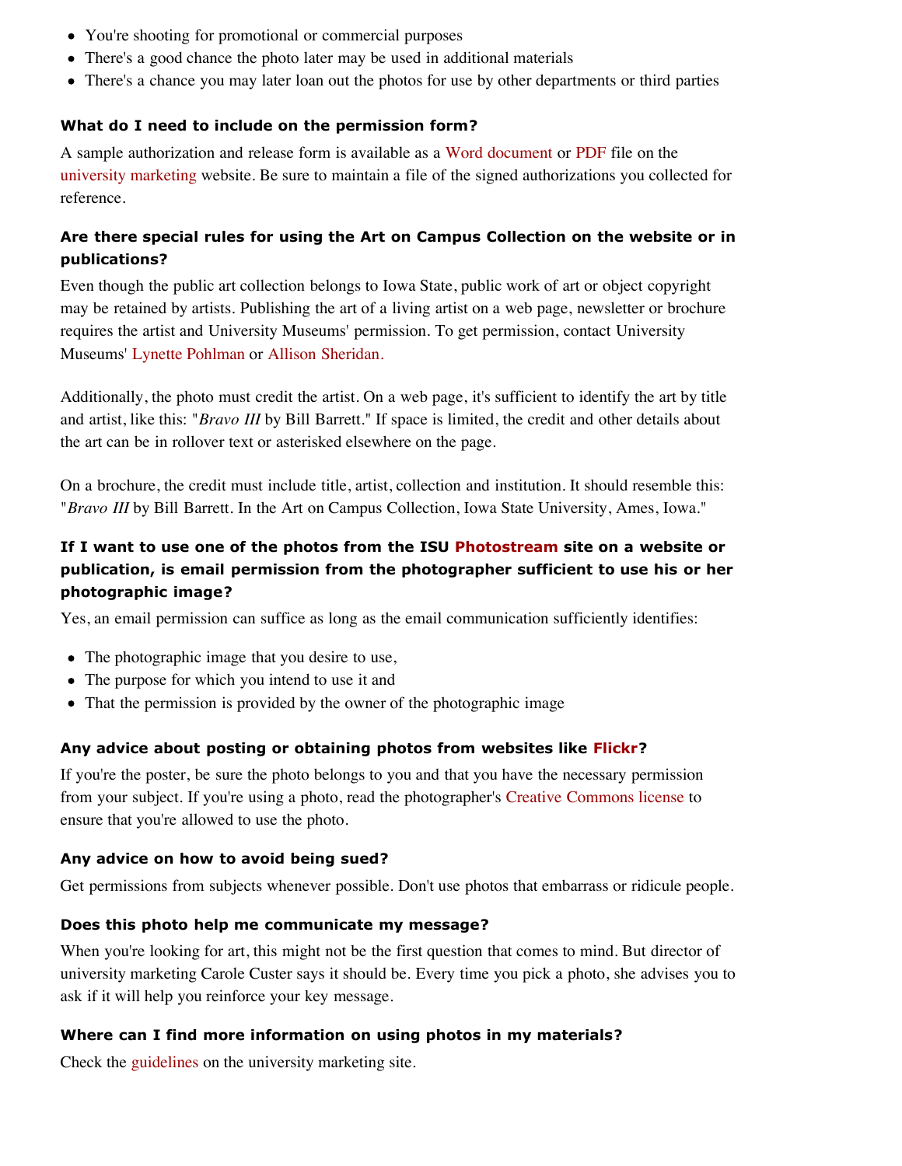- You're shooting for promotional or commercial purposes
- There's a good chance the photo later may be used in additional materials
- There's a chance you may later loan out the photos for use by other departments or third parties

## **What do I need to include on the permission form?**

A sample authorization and release form is available as a Word document or PDF file on the university marketing website. Be sure to maintain a file of the signed authorizations you collected for reference.

## **Are there special rules for using the Art on Campus Collection on the website or in publications?**

Even though the public art collection belongs to Iowa State, public work of art or object copyright may be retained by artists. Publishing the art of a living artist on a web page, newsletter or brochure requires the artist and University Museums' permission. To get permission, contact University Museums' Lynette Pohlman or Allison Sheridan.

Additionally, the photo must credit the artist. On a web page, it's sufficient to identify the art by title and artist, like this: "*Bravo III* by Bill Barrett." If space is limited, the credit and other details about the art can be in rollover text or asterisked elsewhere on the page.

On a brochure, the credit must include title, artist, collection and institution. It should resemble this: "*Bravo III* by Bill Barrett. In the Art on Campus Collection, Iowa State University, Ames, Iowa."

## **If I want to use one of the photos from the ISU Photostream site on a website or publication, is email permission from the photographer sufficient to use his or her photographic image?**

Yes, an email permission can suffice as long as the email communication sufficiently identifies:

- The photographic image that you desire to use,
- The purpose for which you intend to use it and
- That the permission is provided by the owner of the photographic image

## **Any advice about posting or obtaining photos from websites like Flickr?**

If you're the poster, be sure the photo belongs to you and that you have the necessary permission from your subject. If you're using a photo, read the photographer's Creative Commons license to ensure that you're allowed to use the photo.

## **Any advice on how to avoid being sued?**

Get permissions from subjects whenever possible. Don't use photos that embarrass or ridicule people.

## **Does this photo help me communicate my message?**

When you're looking for art, this might not be the first question that comes to mind. But director of university marketing Carole Custer says it should be. Every time you pick a photo, she advises you to ask if it will help you reinforce your key message.

## **Where can I find more information on using photos in my materials?**

Check the guidelines on the university marketing site.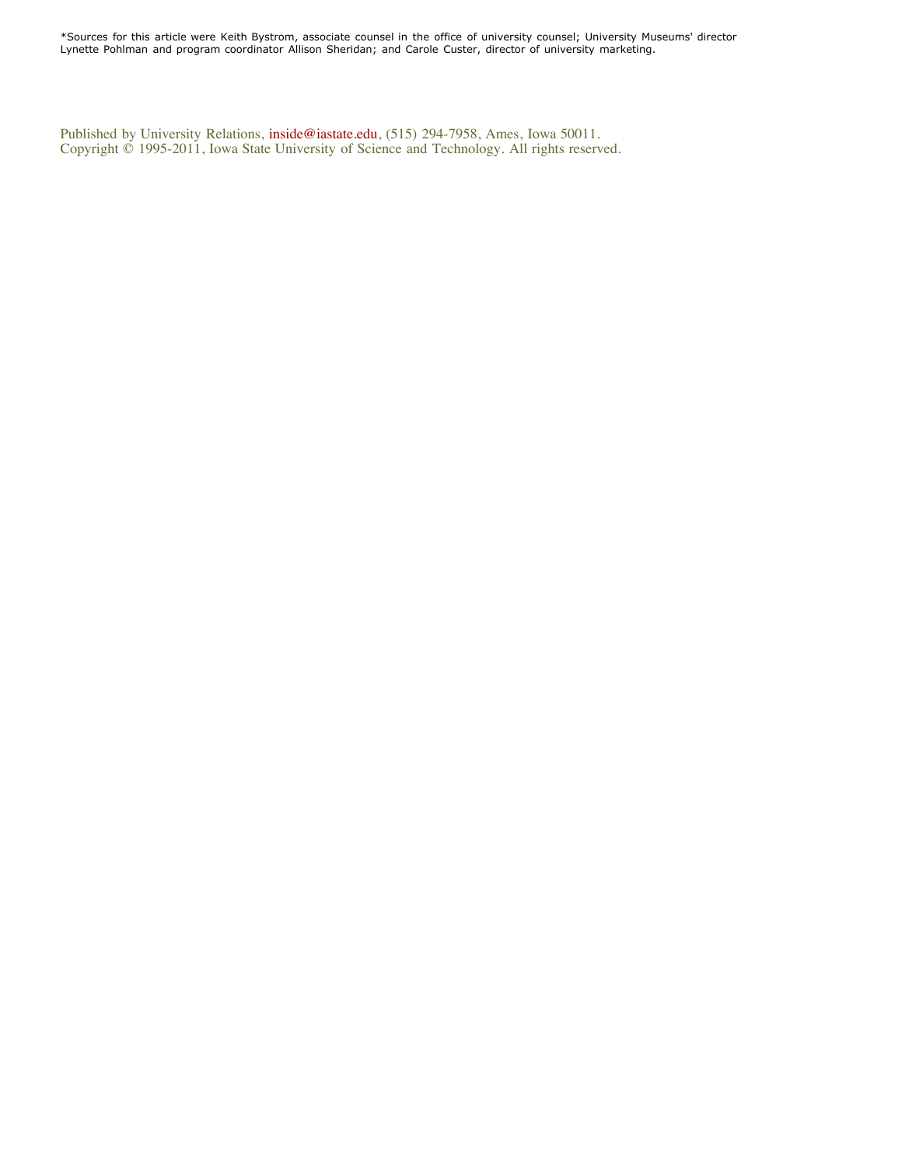\*Sources for this article were Keith Bystrom, associate counsel in the office of university counsel; University Museums' director Lynette Pohlman and program coordinator Allison Sheridan; and Carole Custer, director of university marketing.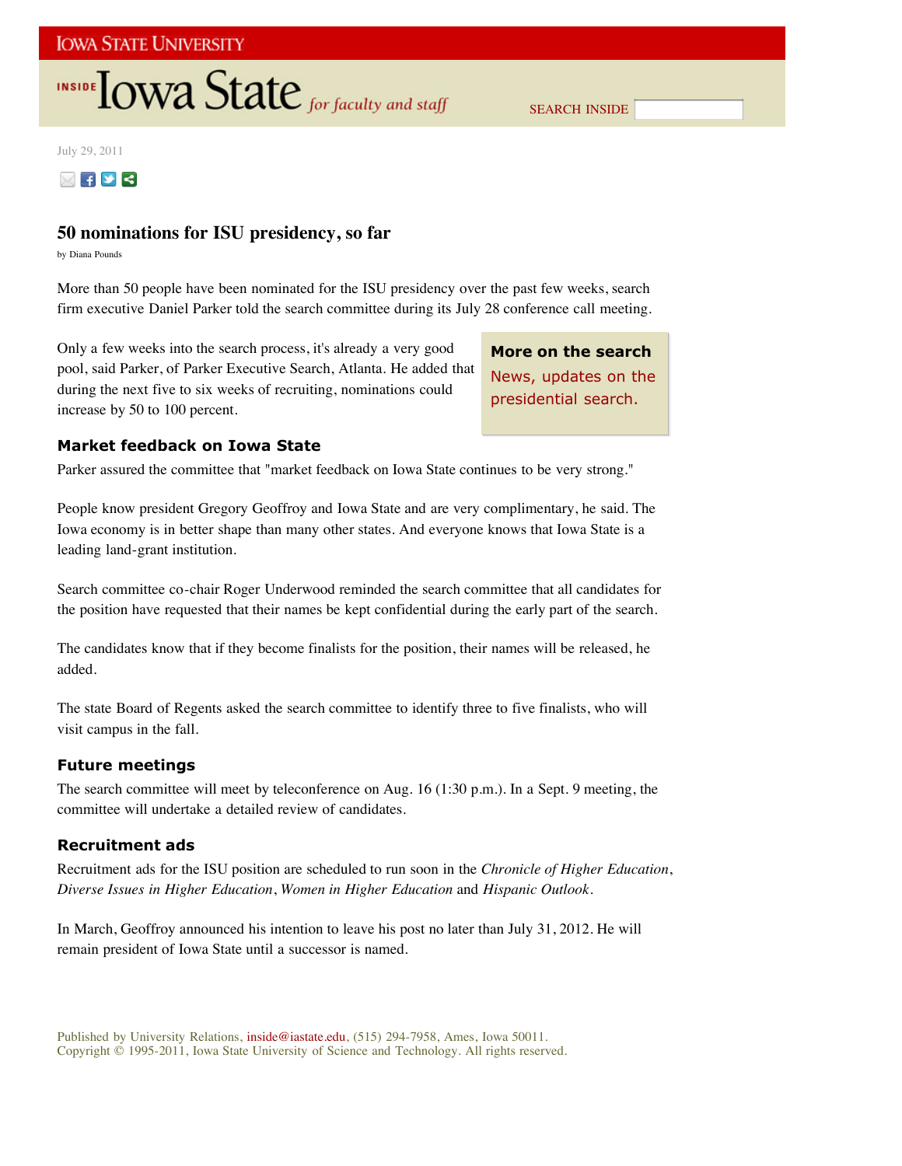# **INSIDE TOWA State** for faculty and staff

July 29, 2011



## **50 nominations for ISU presidency, so far**

by Diana Pounds

More than 50 people have been nominated for the ISU presidency over the past few weeks, search firm executive Daniel Parker told the search committee during its July 28 conference call meeting.

Only a few weeks into the search process, it's already a very good pool, said Parker, of Parker Executive Search, Atlanta. He added that during the next five to six weeks of recruiting, nominations could increase by 50 to 100 percent.

**More on the search** News, updates on the presidential search.

## **Market feedback on Iowa State**

Parker assured the committee that "market feedback on Iowa State continues to be very strong."

People know president Gregory Geoffroy and Iowa State and are very complimentary, he said. The Iowa economy is in better shape than many other states. And everyone knows that Iowa State is a leading land-grant institution.

Search committee co-chair Roger Underwood reminded the search committee that all candidates for the position have requested that their names be kept confidential during the early part of the search.

The candidates know that if they become finalists for the position, their names will be released, he added.

The state Board of Regents asked the search committee to identify three to five finalists, who will visit campus in the fall.

## **Future meetings**

The search committee will meet by teleconference on Aug. 16 (1:30 p.m.). In a Sept. 9 meeting, the committee will undertake a detailed review of candidates.

## **Recruitment ads**

Recruitment ads for the ISU position are scheduled to run soon in the *Chronicle of Higher Education*, *Diverse Issues in Higher Education*, *Women in Higher Education* and *Hispanic Outlook*.

In March, Geoffroy announced his intention to leave his post no later than July 31, 2012. He will remain president of Iowa State until a successor is named.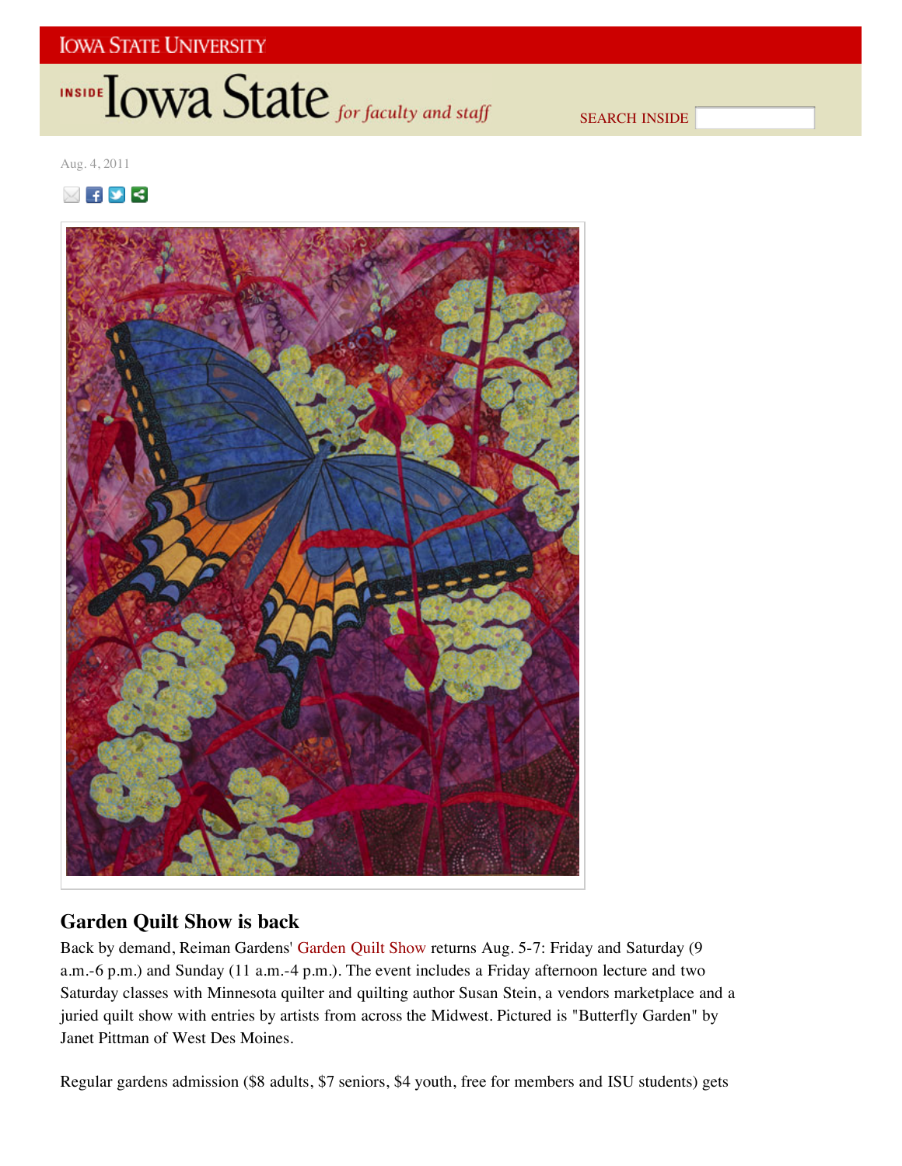# INSIDE **IOWA State** for faculty and staff

SEARCH INSIDE

Aug. 4, 2011

⊠∓⊻⋜



# **Garden Quilt Show is back**

Back by demand, Reiman Gardens' Garden Quilt Show returns Aug. 5-7: Friday and Saturday (9 a.m.-6 p.m.) and Sunday (11 a.m.-4 p.m.). The event includes a Friday afternoon lecture and two Saturday classes with Minnesota quilter and quilting author Susan Stein, a vendors marketplace and a juried quilt show with entries by artists from across the Midwest. Pictured is "Butterfly Garden" by Janet Pittman of West Des Moines.

Regular gardens admission (\$8 adults, \$7 seniors, \$4 youth, free for members and ISU students) gets